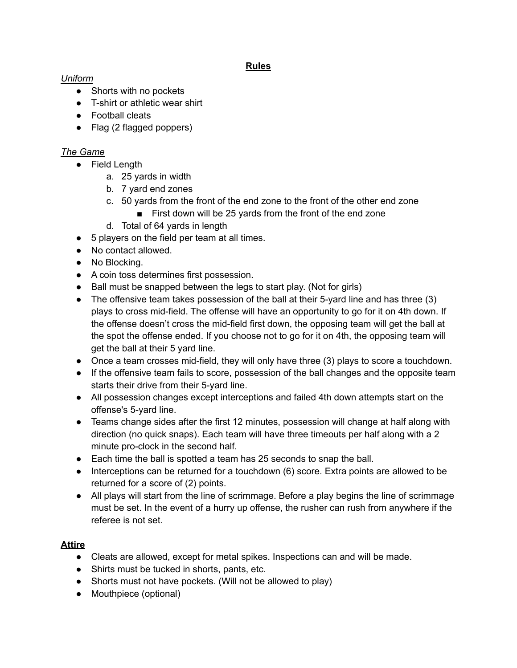### **Rules**

### *Uniform*

- Shorts with no pockets
- T-shirt or athletic wear shirt
- Football cleats
- Flag (2 flagged poppers)

### *The Game*

- Field Length
	- a. 25 yards in width
	- b. 7 yard end zones
	- c. 50 yards from the front of the end zone to the front of the other end zone
		- First down will be 25 yards from the front of the end zone
	- d. Total of 64 yards in length
- 5 players on the field per team at all times.
- No contact allowed.
- No Blocking.
- A coin toss determines first possession.
- Ball must be snapped between the legs to start play. (Not for girls)
- The offensive team takes possession of the ball at their 5-yard line and has three (3) plays to cross mid-field. The offense will have an opportunity to go for it on 4th down. If the offense doesn't cross the mid-field first down, the opposing team will get the ball at the spot the offense ended. If you choose not to go for it on 4th, the opposing team will get the ball at their 5 yard line.
- Once a team crosses mid-field, they will only have three (3) plays to score a touchdown.
- If the offensive team fails to score, possession of the ball changes and the opposite team starts their drive from their 5-yard line.
- All possession changes except interceptions and failed 4th down attempts start on the offense's 5-yard line.
- Teams change sides after the first 12 minutes, possession will change at half along with direction (no quick snaps). Each team will have three timeouts per half along with a 2 minute pro-clock in the second half.
- Each time the ball is spotted a team has 25 seconds to snap the ball.
- Interceptions can be returned for a touchdown (6) score. Extra points are allowed to be returned for a score of (2) points.
- All plays will start from the line of scrimmage. Before a play begins the line of scrimmage must be set. In the event of a hurry up offense, the rusher can rush from anywhere if the referee is not set.

### **Attire**

- Cleats are allowed, except for metal spikes. Inspections can and will be made.
- Shirts must be tucked in shorts, pants, etc.
- Shorts must not have pockets. (Will not be allowed to play)
- Mouthpiece (optional)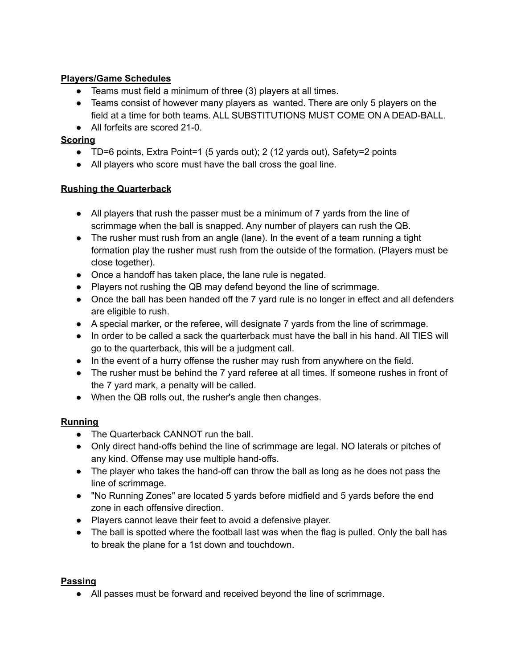## **Players/Game Schedules**

- Teams must field a minimum of three (3) players at all times.
- Teams consist of however many players as wanted. There are only 5 players on the field at a time for both teams. ALL SUBSTITUTIONS MUST COME ON A DEAD-BALL.
- All forfeits are scored 21-0.

### **Scoring**

- TD=6 points, Extra Point=1 (5 yards out); 2 (12 yards out), Safety=2 points
- All players who score must have the ball cross the goal line.

#### **Rushing the Quarterback**

- All players that rush the passer must be a minimum of 7 yards from the line of scrimmage when the ball is snapped. Any number of players can rush the QB.
- The rusher must rush from an angle (lane). In the event of a team running a tight formation play the rusher must rush from the outside of the formation. (Players must be close together).
- Once a handoff has taken place, the lane rule is negated.
- Players not rushing the QB may defend beyond the line of scrimmage.
- Once the ball has been handed off the 7 yard rule is no longer in effect and all defenders are eligible to rush.
- A special marker, or the referee, will designate 7 yards from the line of scrimmage.
- In order to be called a sack the quarterback must have the ball in his hand. All TIES will go to the quarterback, this will be a judgment call.
- In the event of a hurry offense the rusher may rush from anywhere on the field.
- The rusher must be behind the 7 yard referee at all times. If someone rushes in front of the 7 yard mark, a penalty will be called.
- When the QB rolls out, the rusher's angle then changes.

### **Running**

- The Quarterback CANNOT run the ball.
- Only direct hand-offs behind the line of scrimmage are legal. NO laterals or pitches of any kind. Offense may use multiple hand-offs.
- The player who takes the hand-off can throw the ball as long as he does not pass the line of scrimmage.
- "No Running Zones" are located 5 yards before midfield and 5 yards before the end zone in each offensive direction.
- Players cannot leave their feet to avoid a defensive player.
- The ball is spotted where the football last was when the flag is pulled. Only the ball has to break the plane for a 1st down and touchdown.

### **Passing**

● All passes must be forward and received beyond the line of scrimmage.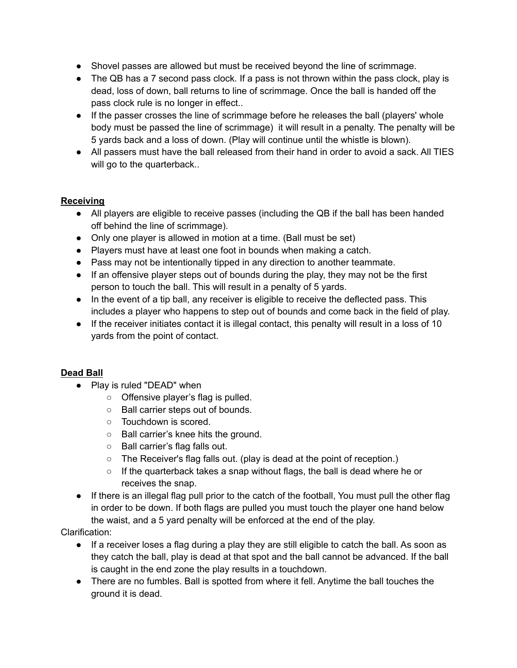- Shovel passes are allowed but must be received beyond the line of scrimmage.
- The QB has a 7 second pass clock. If a pass is not thrown within the pass clock, play is dead, loss of down, ball returns to line of scrimmage. Once the ball is handed off the pass clock rule is no longer in effect..
- If the passer crosses the line of scrimmage before he releases the ball (players' whole body must be passed the line of scrimmage) it will result in a penalty. The penalty will be 5 yards back and a loss of down. (Play will continue until the whistle is blown).
- All passers must have the ball released from their hand in order to avoid a sack. All TIES will go to the quarterback..

# **Receiving**

- All players are eligible to receive passes (including the QB if the ball has been handed off behind the line of scrimmage).
- Only one player is allowed in motion at a time. (Ball must be set)
- Players must have at least one foot in bounds when making a catch.
- Pass may not be intentionally tipped in any direction to another teammate.
- If an offensive player steps out of bounds during the play, they may not be the first person to touch the ball. This will result in a penalty of 5 yards.
- In the event of a tip ball, any receiver is eligible to receive the deflected pass. This includes a player who happens to step out of bounds and come back in the field of play.
- If the receiver initiates contact it is illegal contact, this penalty will result in a loss of 10 yards from the point of contact.

# **Dead Ball**

- Play is ruled "DEAD" when
	- Offensive player's flag is pulled.
	- Ball carrier steps out of bounds.
	- Touchdown is scored.
	- Ball carrier's knee hits the ground.
	- Ball carrier's flag falls out.
	- The Receiver's flag falls out. (play is dead at the point of reception.)
	- $\circ$  If the quarterback takes a snap without flags, the ball is dead where he or receives the snap.
- If there is an illegal flag pull prior to the catch of the football, You must pull the other flag in order to be down. If both flags are pulled you must touch the player one hand below the waist, and a 5 yard penalty will be enforced at the end of the play.

# Clarification:

- If a receiver loses a flag during a play they are still eligible to catch the ball. As soon as they catch the ball, play is dead at that spot and the ball cannot be advanced. If the ball is caught in the end zone the play results in a touchdown.
- There are no fumbles. Ball is spotted from where it fell. Anytime the ball touches the ground it is dead.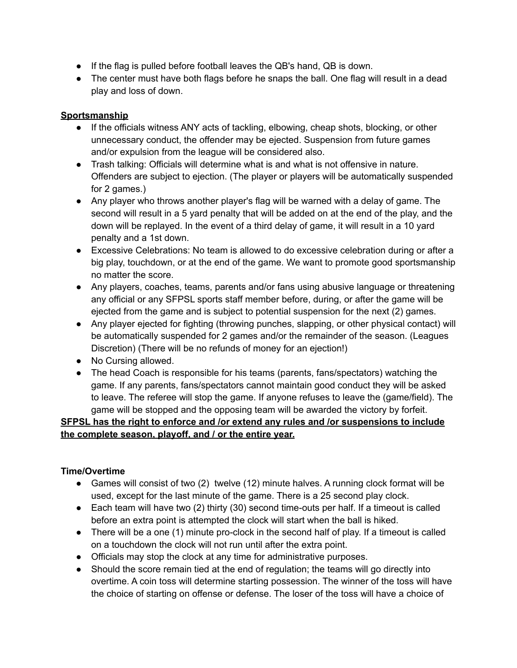- If the flag is pulled before football leaves the QB's hand, QB is down.
- The center must have both flags before he snaps the ball. One flag will result in a dead play and loss of down.

## **Sportsmanship**

- If the officials witness ANY acts of tackling, elbowing, cheap shots, blocking, or other unnecessary conduct, the offender may be ejected. Suspension from future games and/or expulsion from the league will be considered also.
- Trash talking: Officials will determine what is and what is not offensive in nature. Offenders are subject to ejection. (The player or players will be automatically suspended for 2 games.)
- Any player who throws another player's flag will be warned with a delay of game. The second will result in a 5 yard penalty that will be added on at the end of the play, and the down will be replayed. In the event of a third delay of game, it will result in a 10 yard penalty and a 1st down.
- Excessive Celebrations: No team is allowed to do excessive celebration during or after a big play, touchdown, or at the end of the game. We want to promote good sportsmanship no matter the score.
- Any players, coaches, teams, parents and/or fans using abusive language or threatening any official or any SFPSL sports staff member before, during, or after the game will be ejected from the game and is subject to potential suspension for the next (2) games.
- Any player ejected for fighting (throwing punches, slapping, or other physical contact) will be automatically suspended for 2 games and/or the remainder of the season. (Leagues Discretion) (There will be no refunds of money for an ejection!)
- No Cursing allowed.
- The head Coach is responsible for his teams (parents, fans/spectators) watching the game. If any parents, fans/spectators cannot maintain good conduct they will be asked to leave. The referee will stop the game. If anyone refuses to leave the (game/field). The game will be stopped and the opposing team will be awarded the victory by forfeit.

# **SFPSL has the right to enforce and /or extend any rules and /or suspensions to include the complete season, playoff, and / or the entire year.**

# **Time/Overtime**

- Games will consist of two (2) twelve (12) minute halves. A running clock format will be used, except for the last minute of the game. There is a 25 second play clock.
- Each team will have two (2) thirty (30) second time-outs per half. If a timeout is called before an extra point is attempted the clock will start when the ball is hiked.
- There will be a one (1) minute pro-clock in the second half of play. If a timeout is called on a touchdown the clock will not run until after the extra point.
- Officials may stop the clock at any time for administrative purposes.
- Should the score remain tied at the end of regulation; the teams will go directly into overtime. A coin toss will determine starting possession. The winner of the toss will have the choice of starting on offense or defense. The loser of the toss will have a choice of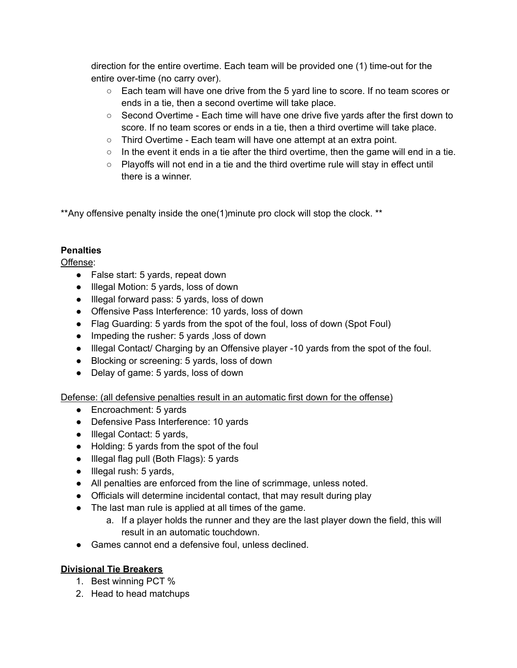direction for the entire overtime. Each team will be provided one (1) time-out for the entire over-time (no carry over).

- Each team will have one drive from the 5 yard line to score. If no team scores or ends in a tie, then a second overtime will take place.
- Second Overtime Each time will have one drive five yards after the first down to score. If no team scores or ends in a tie, then a third overtime will take place.
- Third Overtime Each team will have one attempt at an extra point.
- $\circ$  In the event it ends in a tie after the third overtime, then the game will end in a tie.
- $\circ$  Playoffs will not end in a tie and the third overtime rule will stay in effect until there is a winner.

\*\*Any offensive penalty inside the one(1)minute pro clock will stop the clock. \*\*

### **Penalties**

Offense:

- False start: 5 yards, repeat down
- Illegal Motion: 5 yards, loss of down
- Illegal forward pass: 5 yards, loss of down
- Offensive Pass Interference: 10 yards, loss of down
- Flag Guarding: 5 yards from the spot of the foul, loss of down (Spot Foul)
- Impeding the rusher: 5 yards ,loss of down
- Illegal Contact/ Charging by an Offensive player -10 yards from the spot of the foul.
- Blocking or screening: 5 yards, loss of down
- Delay of game: 5 yards, loss of down

Defense: (all defensive penalties result in an automatic first down for the offense)

- Encroachment: 5 yards
- Defensive Pass Interference: 10 yards
- Illegal Contact: 5 yards,
- Holding: 5 yards from the spot of the foul
- Illegal flag pull (Both Flags): 5 yards
- Illegal rush: 5 yards,
- All penalties are enforced from the line of scrimmage, unless noted.
- Officials will determine incidental contact, that may result during play
- The last man rule is applied at all times of the game.
	- a. If a player holds the runner and they are the last player down the field, this will result in an automatic touchdown.
- Games cannot end a defensive foul, unless declined.

### **Divisional Tie Breakers**

- 1. Best winning PCT %
- 2. Head to head matchups